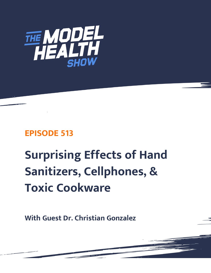

# **EPISODE 513**

# **Surprising Effects of Hand Sanitizers, Cellphones, & Toxic Cookware**

**With Guest Dr. Christian Gonzalez**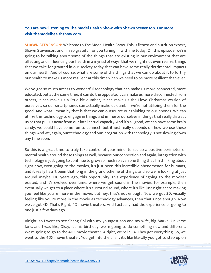## **You are now listening to The Model Health Show with Shawn Stevenson. For more, visit themodelhealthshow.com.**

**SHAWN STEVENSON:** Welcome to The Model Health Show. This is fitness and nutrition expert, Shawn Stevenson, and I'm so grateful for you tuning in with me today. On this episode, we're going to be talking about some of the things that are existing in our environment that are affecting and influencing our health in a myriad of ways, that we might not even realize, things that we take for granted in our society today that can have some really detrimental impacts on our health. And of course, what are some of the things that we can do about it to fortify our health to make us more resilient at this time when we need to be more resilient than ever.

We've got so much access to wonderful technology that can make us more connected, more educated, but at the same time, it can do the opposite, it can make us more disconnected from others, it can make us a little bit dumber, it can make us the Lloyd Christmas version of ourselves, so our smartphones can actually make us dumb if we're not utilizing them for the good. And what I mean by that is that we can outsource our thinking to our phones. We can utilize this technology to engage in things and immerse ourselves in things that really distract us or that pull us away from our intellectual capacity. And it's all good, we can have some brain candy, we could have some fun to connect, but it just really depends on how we use these things. And we, again, our technology and our integration with technology is not slowing down any time soon.

So this is a great time to truly take control of your mind, to set up a positive perimeter of mental health around these things as well, because our connection and again, integration with technology is just going to continue to grow so much so even one thing that I'm thinking about right now, even going to the movies, it's just been this incredible phenomenon for humans, and it really hasn't been that long in the grand scheme of things, and so we're looking at just around maybe 100 years ago, this opportunity, this experience of "going to the movies" existed, and it's evolved over time, where we get sound in the movies, for example, then eventually we get to a place where it's surround sound, where it's like just right there making you feel like you're more in the movie, but hey, that's not enough. Now we got 3D, visually feeling like you're more in the movie as technology advances, then that's not enough. Now we've got 4D, That's Right, 4D movie theaters. And I actually had the experience of going to one just a few days ago.

Alright, so I went to see Shang-Chi with my youngest son and my wife, big Marvel Universe fans, and I was like, Okay, it's his birthday, we're going to do something new and different. We're going to go to the 4DX movie theater. Alright, we're in LA. They got everything. So, we went to the 4DX movie theater. You get into the chair, it's like literally you got to step up on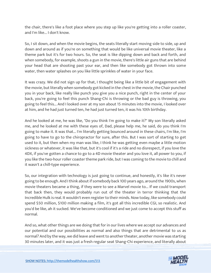the chair, there's like a foot place where you step up like you're getting into a roller coaster, and I'm like... I don't know.

So, I sit down, and when the movie begins, the seats literally start moving side to side, up and down and around as if you're on something that would be like universal movie theater, like a theme park but it's for two hours. So, the seat is like dipping down and back and forth, and when somebody, for example, shoots a gun in the movie, there's little air guns that are behind your head that are shooting past your ear, and then like somebody got thrown into some water, then water splashes on you like little sprinkles of water in your face.

It was crazy. We did not sign up for that, I thought being like a little bit of engagement with the movie, but literally when somebody got kicked in the chest in the movie, the Chair punched you in your back, like really like punch you give you a nice punch, right in the center of your back, you're going to feel this punch Shang-Chi is throwing or the bad guy is throwing, you going to feel this... And I looked over at my son about 15 minutes into the movie, I looked over at him, and he had just turned ten, he had just turned ten, it was his 10th birthday.

And he looked at me, he was like, "Do you think I'm going to make it?" My son literally asked me, and he looked at me with these eyes of, Dad, please help me, he said, do you think I'm going to make it. It was that... I'm literally getting bounced around in these chairs, I'm like, I'm going to have to go to the chiropractor for sure, after this. But I was sort of starting to get used to it, but then when my man was like, I think he was getting even maybe a little motion sickness or whatever, it was like that, but it's cool if it's a ride and no disrespect, if you love the 4DX, if you've gotten a chance to go to a 4D movie theater and you love it, all power to you, if you like the two-hour roller coaster theme park ride, but I was coming to the movie to chill and it wasn't a chill-type experience.

So, our integration with technology is just going to continue, and honestly, it's like it's never going to be enough. And I think about if somebody back 100 years ago, around the 1900s, when movie theaters became a thing, if they were to see a Marvel movie to... If we could transport that back then, they would probably run out of the theater in terror thinking that the Incredible Hulk is real. It wouldn't even register to their minds. Now today, like somebody could spend \$50 million, \$100 million making a film, it's got all this incredible CGI, so realistic. And you'd be like, ah it sucked. We've become conditioned and we just come to accept this stuff as normal.

And so, what other things are we doing that for in our lives where we accept our advances and our potential and our possibilities as normal and also things that are detrimental to us as normal? And by the way, we did leave and went to another theater, another movie was starting 30 minutes later, and it was just a fresh regular seat Shang-Chi experience, and literally about

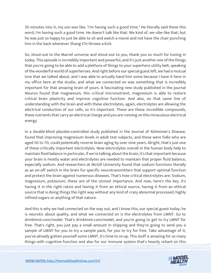30 minutes into it, my son was like, "I'm having such a good time." He literally said these this word, I'm having such a good time. He doesn't talk like that. We kind of, we vibe like that, but he was just so happy to just be able to sit and watch a movie and not have the chair punching him in the back whenever Shang-Chi throws a kick.

So, shout-out to the Marvel universe and shout-out to you, thank you so much for tuning in today. This episode is incredibly important and powerful, and it's just another one of the things that you're going to be able to add a plethora of things to your superhero utility belt, speaking of the wonderful world of superheroes. And right before our special guest left, we had a mutual love that we talked about, and I was able to actually hand him some because I have it here in my office here at the studio, and what we connected on was something that is incredibly important for that amazing brain of yours. A fascinating new study published in the journal Neuron found that magnesium, this critical micronutrient, magnesium is able to restore critical brain plasticity and improve cognitive function. And also, on that same line of understanding with the brain and with these electrolytes, again, electrolytes are allowing the electrical conduction of our cells, so it's important. These are these incredible compounds, these nutrients that carry an electrical charge and you are running on this miraculous electrical energy.

In a double-blind placebo-controlled study published in the Journal of Alzheimer's Disease, found that improving magnesium levels in adult test subjects, and these were folks who are aged 50 to 70, could potentially reverse brain aging by over nine years. Alright, that's just one of these critically important electrolytes. Now electrolytes overall in the human body help to maintain fluid balance in particular, if we're talking about the brain, it's that important because your brain is mostly water and electrolytes are needed to maintain that proper fluid balance, especially sodium. And researchers at McGill University found that sodium functions literally as an on-off switch in the brain for specific neurotransmitters that support optimal function and protect the brain against numerous diseases. That's how critical electrolytes are. Sodium, magnesium, potassium, these are of the utmost importance. And now, here's the key, it's having it in the right ratios and having it from an ethical source, having it from an ethical source that is doing things the right way without any kind of crazy abnormal processed, highly refined sugars or anything of that nature.

And this is why we had connected on the way out, and I know this, our special guest today, he is neurotic about quality, and what we connected on is the electrolytes from LMNT. Go to drinklmnt.com/model. That's drinklmnt.com/model, and you're going to get to try LMNT for free. That's right, you just pay a small amount in shipping and they're going to send you a sample of LMNT for you to try a sample pack, for you to try for free. Take advantage of it, you've already gotten yourself some LMNT, it's time to re-up. This stuff is amazing for so many things with cognitive function and also for our immune system that's heavily reliant on this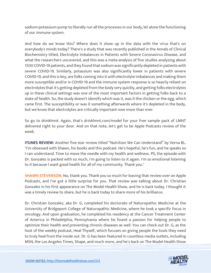sodium-potassium pump to literally run all the processes in our body, let alone the functioning of our immune system.

And how do we know this? Where does it show up in the data with the virus that's on everybody's minds today? There's a study that was recently published in the Annals of Clinical Biochemistry titled, Electrolyte Imbalances in Patients with Severe Coronavirus Disease, and what the researchers uncovered, and this was a meta-analysis of five studies analyzing about 1500 COVID-19 patients, and they found that sodium was significantly depleted in patients with severe COVID-19. Similarly, potassium was also significantly lower in patients with severe COVID-19, and this is key, are folks coming into it with electrolyte imbalances and making them more susceptible and/or is COVID-19 and the immune system response is so heavily reliant on electrolytes that it's getting depleted from the body very quickly, and getting folks electrolytes up in these clinical settings was one of the most important factors in getting folks back to a state of health. So, the study doesn't identify which was it, was it the chicken or the egg, which came first. The susceptibility or was it something afterwards where it's depleted in the body, but we know that electrolytes are critically important now more than ever.

So go to drinklmnt. Again, that's drinklmnt.com/model for your free sample pack of LMNT delivered right to your door. And on that note, let's get to be Apple Podcasts review of the week.

**ITUNES REVIEW:** Another five-star review titled "Nutrition We Can Understand" by Verna BL. "I'm obsessed with Shawn, his books and this podcast. He's hopeful, he's fun, and he speaks so I can understand. Time to move the needle with my health and wellness. PS, the episode with Dr. Gonzalez is packed with so much, I'm going to listen to it again. I'm so emotional listening to it because I want good health for all of my community. Thank you."

**SHAWN STEVENSON:** No, thank you. Thank you so much for leaving that review over on Apple Podcasts, and I've got a little surprise for you. That review was talking about Dr. Christian Gonzalez in his first appearance on The Model Health Show, and he is back today. I thought it was a timely review to share, but he is back today to share more of his brilliance.

Dr. Christian Gonzalez, aka Dr. G, completed his doctorate of Naturopathic Medicine at the University of Bridgeport College of Naturopathic Medicine, where he took a specific focus in oncology. And upon graduation, he completed his residency at the Cancer Treatment Center of America in Philadelphia, Pennsylvania where he found a passion for helping people to optimize their health and preventing chronic diseases as well. You can check out Dr. G, as the host of the weekly podcast, Heal Thyself, which focuses on giving people the tools they need to truly heal from the inside out. Dr. G has been featured in countless media outlets, including MSN, the Los Angeles Times, Shape, and much more, and he's back on The Model Health Show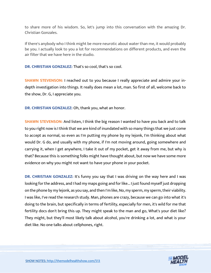to share more of his wisdom. So, let's jump into this conversation with the amazing Dr. Christian Gonzales.

If there's anybody who I think might be more neurotic about water than me, it would probably be you. I actually look to you a lot for recommendations on different products, and even the air filter that we have here in the studio.

**DR. CHRISTIAN GONZALEZ:** That's so cool, that's so cool.

**SHAWN STEVENSON:** I reached out to you because I really appreciate and admire your indepth investigation into things. It really does mean a lot, man. So first of all, welcome back to the show, Dr. G, I appreciate you.

**DR. CHRISTIAN GONZALEZ:** Oh, thank you, what an honor.

**SHAWN STEVENSON:** And listen, I think the big reason I wanted to have you back and to talk to you right now is I think that we are kind of inundated with so many things that we just come to accept as normal, so even as I'm putting my phone by my lejonk, I'm thinking about what would Dr. G do, and usually with my phone, if I'm not moving around, going somewhere and carrying it, when I get anywhere, I take it out of my pocket, get it away from me, but why is that? Because this is something folks might have thought about, but now we have some more evidence on why you might not want to have your phone in your pocket.

**DR. CHRISTIAN GONZALEZ:** It's funny you say that I was driving on the way here and I was looking for the address, and I had my maps going and for like... I just found myself just dropping on the phone by my lejonk, as you say, and then I'm like, No, my sperm, my sperm, their viability. I was like, I've read the research study. Man, phones are crazy, because we can go into what it's doing to the brain, but specifically in terms of fertility, especially for men, it's wild for me that fertility docs don't bring this up. They might speak to the man and go, What's your diet like? They might, but they'll most likely talk about alcohol, you're drinking a lot, and what is your diet like. No one talks about cellphones, right.

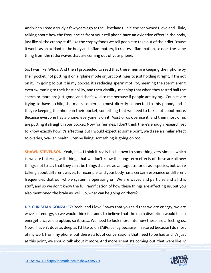And when I read a study a few years ago at the Cleveland Clinic, the renowned Cleveland Clinic, talking about how the frequencies from your cell phone have an oxidative effect in the body, just like all the crappy stuff, like the crappy foods we tell people to take out of their diet, 'cause it works as an oxidant in the body and inflammatory, it creates inflammation, so does the same thing from the radio waves that are coming out of your phone.

So, I was like, Whoa. And then I proceeded to read that these men are keeping their phone by their pocket, not putting it on airplane mode or just continues to just holding it right, if I'm not on it, I'm going to put it in my pocket, it's reducing sperm motility, meaning the sperm aren't even swimming to their best ability, and then viability, meaning that when they tested half the sperm or more are just gone, and that's wild to me because if people are trying... Couples are trying to have a child, the man's semen is almost directly connected to this phone, and if they're keeping the phone in their pocket, something that we need to talk a lot about more. Because everyone has a phone, everyone is on it. Most of us overuse it, and then most of us are putting it straight in our pocket. Now for females, I don't think there's enough research yet to know exactly how it's affecting but I would expect at some point, we'd see a similar effect to ovaries, ovarian health, uterine lining, something is going on too.

**SHAWN STEVENSON:** Yeah, it's... I think it really boils down to something very simple, which is, we are tinkering with things that we don't know the long-term effects of these are all new things, not to say that they can't be things that are advantageous for us as a species, but we're talking about different waves, for example, and your body has a certain resonance or different frequencies that our whole system is operating on. We are waves and particles and all this stuff, and so we don't know the full ramification of how these things are affecting us, but you also mentioned the brain as well. So, what can be going on there?

**DR. CHRISTIAN GONZALEZ:** Yeah, and I love Shawn that you said that we are energy, we are waves of energy, so we would think it stands to believe that the main disruption would be an energetic wave disruption, so it just... We need to look more into how these are affecting us. Now, I haven't dove as deep as I'd like to on EMFs, partly because I'm scared because I do most of my work from my phone, but there's a lot of conversations that need to be had and it's just at this point, we should talk about it more. And more scientists coming out, that were like 12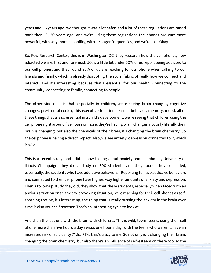years ago, 15 years ago, we thought it was a lot safer, and a lot of these regulations are based back then 15, 20 years ago, and we're using these regulations the phones are way more powerful, with way more capability, with stronger frequencies, and we're like, Okay.

So, Pew Research Center, this is in Washington DC, they research how the cell phones, how addicted we are, first and foremost, 50%, a little bit under 50% of us report being addicted to our cell phones, and they found 85% of us are reaching for our phone when talking to our friends and family, which is already disrupting the social fabric of really how we connect and interact. And it's interesting because that's essential for our health. Connecting to the community, connecting to family, connecting to people.

The other side of it is that, especially in children, we're seeing brain changes, cognitive changes, pre-frontal cortex, this executive function, learned behavior, memory, mood, all of these things that are so essential in a child's development, we're seeing that children using the cell phone right around five hours or more, they're having brain changes, not only literally their brain is changing, but also the chemicals of their brain, it's changing the brain chemistry. So the cellphone is having a direct impact. Also, we see anxiety, depression connected to it, which is wild.

This is a recent study, and I did a show talking about anxiety and cell phones, University of Illinois Champaign, they did a study on 300 students, and they found, they concluded, essentially, the students who have addictive behaviors... Reporting to have addictive behaviors and connected to their cell phone have higher, way higher amounts of anxiety and depression. Then a follow-up study they did, they show that these students, especially when faced with an anxious situation or an anxiety-provoking situation, were reaching for their cell phones as selfsoothing too. So, it's interesting, the thing that is really pushing the anxiety in the brain over time is also your self-soother. That's an interesting cycle to look at.

And then the last one with the brain with children... This is wild, teens, teens, using their cell phone more than five hours a day versus one hour a day, with the teens who weren't, have an increased risk of suicidality 71%... 71%, that's crazy to me. So not only is it changing their brain, changing the brain chemistry, but also there's an influence of self-esteem on there too, so the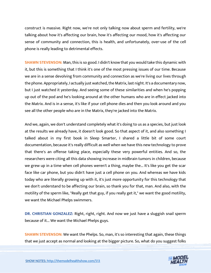construct is massive. Right now, we're not only talking now about sperm and fertility, we're talking about how it's affecting our brain, how it's affecting our mood, how it's affecting our sense of community and connection, this is health, and unfortunately, over-use of the cell phone is really leading to detrimental effects.

**SHAWN STEVENSON:** Man, this is so good. I didn't know that you would take this dynamic with it, but this is something that I think it's one of the most pressing issues of our time. Because we are in a sense devolving from community and connection as we're living our lives through the phone. Appropriately, I actually just watched, the Matrix, last night. It's a documentary now, but I just watched it yesterday. And seeing some of these similarities and when he's popping up out of the pod and he's looking around at the other humans who are in effect jacked into the Matrix. And is in a sense, it's like if your cell phone dies and then you look around and you see all the other people who are in the Matrix, they're jacked into the Matrix.

And we, again, we don't understand completely what it's doing to us as a species, but just look at the results we already have, it doesn't look good. So that aspect of it, and also something I talked about in my first book in Sleep Smarter, I shared a little bit of some court documentation, because it's really difficult as well when we have this new technology to prove that there's an offense taking place, especially these very powerful entities. And so, the researchers were citing all this data showing increase in midbrain tumors in children, because we grew up in a time when cell phones weren't a thing, maybe the... It's like you get the scar face like car phone, but you didn't have just a cell phone on you. And whereas we have kids today who are literally growing up with it, it's just more opportunity for this technology that we don't understand to be affecting our brain, so thank you for that, man. And also, with the motility of the sperm like, "Really get that guy, if you really get it," we want the good motility, we want the Michael Phelps swimmers.

**DR. CHRISTIAN GONZALEZ:** Right, right, right. And now we just have a sluggish snail sperm because of it... We want the Michael Phelps guys.

**SHAWN STEVENSON:** We want the Phelps. So, man, it's so interesting that again, these things that we just accept as normal and looking at the bigger picture. So, what do you suggest folks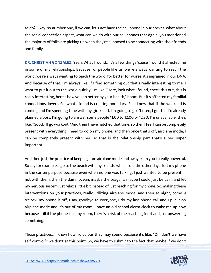to do? Okay, so number one, if we can, let's not have the cell phone in our pocket, what about the social connection aspect, what can we do with our cell phones that again, you mentioned the majority of folks are picking up when they're supposed to be connecting with their friends and family.

**DR. CHRISTIAN GONZALEZ:** Yeah. What I found... It's a few things 'cause I found it affected me in some of my relationships. Because for people like us, we're always wanting to reach the world, we're always wanting to teach the world, for better for worse, it's ingrained in our DNA. And because of that, I'm always like, if I find something out that's really interesting to me, I want to put it out to the world quickly, I'm like, "Here, look what I found, check this out, this is really interesting, here's how you do better by your health," boom. But it's affected my familial connections, lovers. So, what I found is creating boundary. So, I know that if the weekend is coming and I'm spending time with my girlfriend, I'm going to go, "Listen, I got to... I'd already planned a post, I'm going to answer some people 11:00 to 12:00 or 12:30, I'm unavailable, she's like, "Good, I'll go workout." And then I have hatched that time, so then I feel I can be completely present with everything I need to do on my phone, and then once that's off, airplane mode, I can be completely present with her, so that is the relationship part that's super, super important.

And then just the practice of keeping it on airplane mode and away from you is really powerful. So say for example, I go to the beach with my friends, which I did the other day, I left my phone in the car on purpose because even when no one was talking, I just wanted to be present, if not with them, then the damn ocean, maybe the seagulls, maybe I could just be calm and let my nervous system just relax a little bit instead of just reaching for my phone. So, making these interventions on your practices, really utilizing airplane mode, and then at night, come 9 o'clock, my phone is off, I say goodbye to everyone, I do my last phone call and I put it on airplane mode and it's out of my room. I have an old school alarm clock to wake me up now because still if the phone is in my room, there's a risk of me reaching for it and just answering something.

Those practices... I know how ridiculous they may sound because it's like, "Oh, don't we have self-control?" we don't at this point. So, we have to submit to the fact that maybe if we don't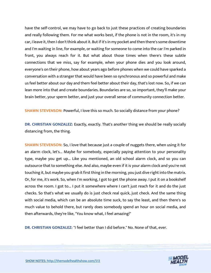have the self-control, we may have to go back to just these practices of creating boundaries and really following them. For me what works best, if the phone is not in the room, it's in my car, I leave it, then I don't think about it. But if it's in my pocket and then there's some downtime and I'm waiting in line, for example, or waiting for someone to come into the car I'm parked in front, you always reach for it. But what about those times when there's these subtle connections that we miss, say for example, when your phone dies and you look around, everyone's on their phone, how about years ago before phones when we could have sparked a conversation with a stranger that would have been so synchronous and so powerful and make us feel better about our day and them feel better about their day, that's lost now. So, if we can lean more into that and create boundaries. Boundaries are so, so important, they'll make your brain better, your sperm better, and just your overall sense of community connection better.

**SHAWN STEVENSON:** Powerful, I love this so much. So socially distance from your phone?

**DR. CHRISTIAN GONZALEZ:** Exactly, exactly. That's another thing we should be really socially distancing from, the thing.

**SHAWN STEVENSON:** So, I love that because just a couple of nuggets there, when using it for an alarm clock, let's... Maybe for somebody, especially paying attention to your personality type, maybe you get up... Like you mentioned, an old school alarm clock, and so you can outsource that to something else. And also, maybe even if it is your alarm clock and you're not touching it, but maybe you grab it first thing in the morning, you just dive right into the matrix. Or, for me, it's work. So, when I'm working, I got to get the phone away. I put it on a bookshelf across the room. I got to... I put it somewhere where I can't just reach for it and do the just checks. So that's what we usually do is just check real quick, just check. And the same thing with social media, which can be an absolute time suck, to say the least, and then there's so much value to behold there, but rarely does somebody spend an hour on social media, and then afterwards, they're like, "You know what, I feel amazing!"

**DR. CHRISTIAN GONZALEZ:** "I feel better than I did before." No. None of that, ever.

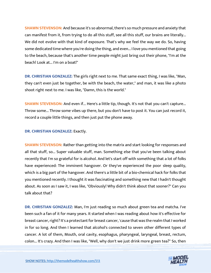**SHAWN STEVENSON:** And because it's so abnormal, there's so much pressure and anxiety that can manifest from it, from trying to do all this stuff, see all this stuff, our brains are literally... We did not evolve with that kind of exposure. That's why we feel the way we do. So, having some dedicated time where you're doing the thing, and even... I love you mentioned that going to the beach, because that's another time people might just bring out their phone, "I'm at the beach! Look at... I'm on a boat!"

**DR. CHRISTIAN GONZALEZ:** The girls right next to me. That same exact thing, I was like, "Man, they can't even just be together, be with the beach, the water," and man, it was like a photo shoot right next to me. I was like, "Damn, this is the world."

**SHAWN STEVENSON:** And even if... Here's a little tip, though. It's not that you can't capture... Throw some... Throw some vibes up there, but you don't have to post it. You can just record it, record a couple little things, and then just put the phone away.

### **DR. CHRISTIAN GONZALEZ:** Exactly.

**SHAWN STEVENSON:** Rather than getting into the matrix and start looking for responses and all that stuff, so... Super valuable stuff, man. Something else that you've been talking about recently that I'm so grateful for is alcohol. And let's start off with something that a lot of folks have experienced: The imminent hangover. Or they've experienced the poor sleep quality, which is a big part of the hangover. And there's a little bit of a bio-chemical hack for folks that you mentioned recently. I thought it was fascinating and something new that I hadn't thought about. As soon as I saw it, I was like, "Obviously! Why didn't think about that sooner?" Can you talk about that?

**DR. CHRISTIAN GONZALEZ:** Man, I'm just reading so much about green tea and matcha. I've been such a fan of it for many years. It started when I was reading about how it's effective for breast cancer, right? It's a protectant for breast cancer, 'cause that was the realm that I worked in for so long. And then I learned that alcohol's connected to seven other different types of cancer. A lot of them, Mouth, oral cavity, esophagus, pharyngeal, laryngeal, breast, rectum, colon... It's crazy. And then I was like, "Well, why don't we just drink more green tea?" So, then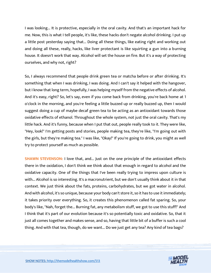I was looking... It is protective, especially in the oral cavity. And that's an important hack for me. Now, this is what I tell people, it's like, these hacks don't negate alcohol drinking. I put up a little post yesterday saying that... Doing all these things, like eating right and working out and doing all these, really, hacks, like liver protectant is like squirting a gun into a burning house. It doesn't work that way. Alcohol will set the house on fire. But it's a way of protecting ourselves, and why not, right?

So, I always recommend that people drink green tea or matcha before or after drinking. It's something that when I was drinking, I was doing. And I can't say it helped with the hangover, but I know that long term, hopefully, I was helping myself from the negative effects of alcohol. And it's easy, right? So, let's say, even if you come back from drinking, you're back home at 1 o'clock in the morning, and you're feeling a little buzzed up or really buzzed up, then I would suggest doing a cup of maybe decaf green tea to be acting as an antioxidant towards those oxidative effects of ethanol. Throughout the whole system, not just the oral cavity. That's my little hack. And it's funny, because when I put that out, people really took to it. They were like, "Hey, look!" I'm getting posts and stories, people making tea, they're like, "I'm going out with the girls, but they're making tea." I was like, "Okay!" If you're going to drink, you might as well try to protect yourself as much as possible.

**SHAWN STEVENSON: I love that, and... Just on the one principle of the antioxidant effects** there in the oxidation, I don't think we think about that enough in regard to alcohol and the oxidative capacity. One of the things that I've been really trying to impress upon culture is with... Alcohol is so interesting. It's a macronutrient, but we don't usually think about it in that context. We just think about the fats, proteins, carbohydrates, but we got water in alcohol. And with alcohol, it's so unique, because your body can't store it, so it has to use it immediately; it takes priority over everything. So, it creates this phenomenon called fat sparing. So, your body's like, "Nah, forget the... Burning fat, any metabolism stuff, we got to use this stuff!" And I think that it's part of our evolution because it's so potentially toxic and oxidative. So, that it just all comes together and makes sense, and so, having that little bit of a buffer is such a cool thing. And with that tea, though, do we want... Do we just get any tea? Any kind of tea bags?

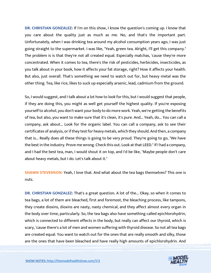**DR. CHRISTIAN GONZALEZ:** If I'm on this show, I know the question's coming up. I know that you care about the quality just as much as me. No, and that's the important part. Unfortunately, when I was drinking tea around my alcohol consumption years ago, I was just going straight to the supermarket. I was like, "Yeah, green tea. Alright, I'll get this company." The problem is is that they're not all created equal. Especially matchas, 'cause they're more concentrated. When it comes to tea, there's the risk of pesticides, herbicides, insecticides, as you talk about in your book, how it affects your fat storage, right? How it affects your health. But also, just overall. That's something we need to watch out for, but heavy metal was the other thing. Tea, like rice, likes to suck up especially arsenic, lead, cadmium from the ground.

So, I would suggest, and I talk about a lot how to look for this, but I would suggest that people, if they are doing this, you might as well get yourself the highest quality. If you're exposing yourself to alcohol, you don't want your body to do more work. Yeah, we're getting the benefits of tea, but also, you want to make sure that it's clean, it's pure. And... Yeah, do... You can call a company, ask about... Look for the organic label. You can call a company, ask to see their certificates of analysis, or if they test for heavy metals, which they should. And then, a company that is... Really does all these things is going to be very proud. They're going to go, "We have the best in the industry. Prove me wrong. Check this out. Look at that LEED." If I had a company, and I had the best tea, man, I would shout it on top, and I'd be like, "Maybe people don't care about heavy metals, but I do. Let's talk about it."

**SHAWN STEVENSON:** Yeah, I love that. And what about the tea bags themselves? This one is nuts.

**DR. CHRISTIAN GONZALEZ:** That's a great question. A lot of the... Okay, so when it comes to tea bags, a lot of them are bleached, first and foremost, the bleaching process, like tampons, they create dioxins, dioxins are nasty, nasty chemical, and they affect almost every organ in the body over time, particularly. So, the tea bags also have something called epichlorohydrin, which is connected to different effects in the body, but really can affect our thyroid, which is scary, 'cause there's a lot of men and women suffering with thyroid disease. So not all tea bags are created equal. You want to watch out for the ones that are really smooth and silky, those are the ones that have been bleached and have really high amounts of epichlorohydrin. And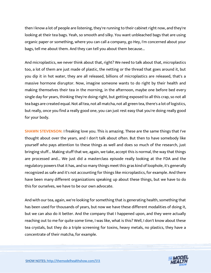then I know a lot of people are listening, they're running to their cabinet right now, and they're looking at their tea bags. Yeah, so smooth and silky. You want unbleached bags that are using organic paper or something, where you can call a company, go Hey, I'm concerned about your bags, tell me about them. And they can tell you about them because...

And microplastics, we never think about that, right? We need to talk about that, microplastics too, a lot of them are just made of plastic, the netting or the thread that goes around it, but you dip it in hot water, they are all released, billions of microplastics are released, that's a massive hormone disruptor. Now, imagine someone wants to do right by their health and making themselves their tea in the morning, in the afternoon, maybe one before bed every single day for years, thinking they're doing right, but getting exposed to all this crap, so not all tea bags are created equal. Not all tea, not all matcha, not all green tea, there's a lot of logistics, but really, once you find a really good one, you can just rest easy that you're doing really good for your body.

**SHAWN STEVENSON:** I freaking love you. This is amazing. These are the same things that I've thought about over the years, and I don't talk about often. But then to have somebody like yourself who pays attention to these things as well and does so much of the research, just bringing stuff... Making stuff that we, again, we take, accept this is normal, the way that things are processed and... We just did a masterclass episode really looking at the FDA and the regulatory powers that it has, and so many things meet this gras kind of loophole, it's generally recognized as safe and it's not accounting for things like microplastics, for example. And there have been many different organizations speaking up about these things, but we have to do this for ourselves, we have to be our own advocate.

And with our tea, again, we're looking for something that is generating health, something that has been used for thousands of years, but now we have these different modalities of doing it, but we can also do it better. And the company that I happened upon, and they were actually reaching out to me for quite some time, I was like, what is this? Well, I don't know about these tea crystals, but they do a triple screening for toxins, heavy metals, no plastics, they have a concentrate of their matcha, for example.

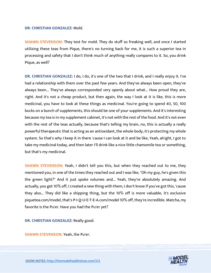#### **DR. CHRISTIAN GONZALEZ:** Mold.

**SHAWN STEVENSON:** They test for mold. They do stuff so freaking well, and once I started utilizing these teas from Pique, there's no turning back for me, it is such a superior tea in processing and safety that I don't think much of anything really compares to it. So, you drink Pique, as well?

**DR. CHRISTIAN GONZALEZ:** I do, I do, it's one of the two that I drink, and I really enjoy it. I've had a relationship with them over the past few years. And they've always been open, they've always been... They've always corresponded very openly about what... How proud they are, right. And it's not a cheap product, but then again, the way I look at it is like, this is more medicinal, you have to look at these things as medicinal. You're going to spend 40, 50, 100 bucks on a bunch of supplements, this should be one of your supplements. And it's interesting because my tea is in my supplement cabinet, it's not with the rest of the food. And it's not even with the rest of the teas actually, because that's telling my brain, no, this is actually a really powerful therapeutic that is acting as an antioxidant, the whole body, it's protecting my whole system. So that's why I keep it in there 'cause I can look at it and be like, Yeah, alright, I got to take my medicinal today, and then later I'll drink like a nice little chamomile tea or something, but that's my medicinal.

**SHAWN STEVENSON:** Yeah, I didn't tell you this, but when they reached out to me, they mentioned you, in one of the times they reached out and I was like, "Oh my guy, he's given this the green light?" And it just spoke volumes and... Yeah, they're absolutely amazing. And actually, you get 10% off, I created a new thing with them, I don't know if you've got this, 'cause they also... They did like a shipping thing, but the 10% off is more valuable, it's exclusive piquetea.com/model, that's P-I-Q-U-E-T-E-A.com/model 10% off, they're incredible. Matcha, my favorite is the Pu'er. Have you had the Pu'er yet?

**DR. CHRISTIAN GONZALEZ:** Really good.

**SHAWN STEVENSON:** Yeah, the Pu'er.

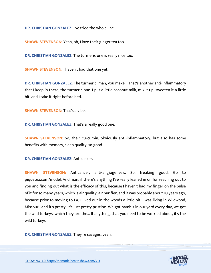**DR. CHRISTIAN GONZALEZ:** I've tried the whole line.

**SHAWN STEVENSON:** Yeah, oh, I love their ginger tea too.

**DR. CHRISTIAN GONZALEZ:** The turmeric one is really nice too.

**SHAWN STEVENSON:** I haven't had that one yet.

**DR. CHRISTIAN GONZALEZ:** The turmeric, man, you make... That's another anti-inflammatory that I keep in there, the turmeric one. I put a little coconut milk, mix it up, sweeten it a little bit, and I take it right before bed.

**SHAWN STEVENSON: That's a vibe.** 

**DR. CHRISTIAN GONZALEZ:** That's a really good one.

**SHAWN STEVENSON:** So, their curcumin, obviously anti-inflammatory, but also has some benefits with memory, sleep quality, so good.

**DR. CHRISTIAN GONZALEZ:** Anticancer.

**SHAWN STEVENSON:** Anticancer, anti-angiogenesis. So, freaking good. Go to piquetea.com/model. And man, if there's anything I've really leaned in on for reaching out to you and finding out what is the efficacy of this, because I haven't had my finger on the pulse of it for so many years, which is air quality, air purifier, and it was probably about 10 years ago, because prior to moving to LA, I lived out in the woods a little bit, I was living in Wildwood, Missouri, and it's pretty, it's just pretty pristine. We got bambis in our yard every day, we got the wild turkeys, which they are the... If anything, that you need to be worried about, it's the wild turkeys.

**DR. CHRISTIAN GONZALEZ:** They're savages, yeah.

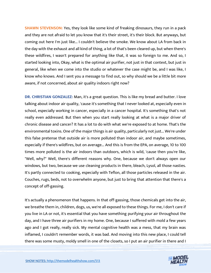**SHAWN STEVENSON:** Yes, they look like some kind of freaking dinosaurs, they run in a pack and they are not afraid to let you know that it's their street, it's their block. But anyways, but coming out here I'm just like... I couldn't believe the smoke. We know about LA from back in the day with the exhaust and all kind of thing, a lot of that's been cleared up, but when there's these wildfires, I wasn't prepared for anything like that, it was so foreign to me. And so, I started looking into, Okay, what is the optimal air purifier, not just in that context, but just in general, like when we come into the studio or whatever the case might be, and I was like, I know who knows. And I sent you a message to find out, so why should we be a little bit more aware, if not concerned, about air quality indoors right now?

**DR. CHRISTIAN GONZALEZ:** Man, it's a great question. This is like my bread and butter. I love talking about indoor air quality, 'cause it's something that I never looked at, especially even in school, especially working in cancer, especially in a cancer hospital. It's something that's not really even addressed. But then when you start really looking at what is a major driver of chronic disease and cancer? It has a lot to do with what we're exposed to at home. That's the environmental toxins. One of the major things is air quality, particularly not just... We're under this false pretense that outside air is more polluted than indoor air, and maybe sometimes, especially if there's wildfires, but on average... And this is from the EPA, on average, 10 to 100 times more polluted is the air indoors than outdoors, which is wild, 'cause then you're like, "Well, why?" Well, there's different reasons why. One, because we don't always open our windows, but two, because we use cleaning products in there, bleach, Lysol, all those nasties. It's partly connected to cooking, especially with Teflon, all those particles released in the air. Couches, rugs, beds, not to overwhelm anyone, but just to bring that attention that there's a concept of off-gassing.

It's actually a phenomenon that happens. In that off-gassing, those chemicals get into the air, we breathe them in, children, dogs, us, we're all exposed to these things. For me, I don't care if you live in LA or not, it's essential that you have something purifying your air throughout the day, and I have three air purifiers in my home. One, because I suffered with mold a few years ago and I got really, really sick. My mental cognitive health was a mess, that my brain was inflamed, I couldn't remember words, it was bad. And moving into this new place, I could tell there was some musty, moldy smell in one of the closets, so I put an air purifier in there and I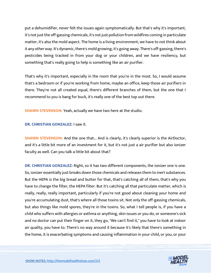put a dehumidifier, never felt the issues again symptomatically. But that's why it's important, it's not just the off-gassing chemicals, it's not just pollution from wildfires coming in particulate matter, it's also the mold aspect. The home is a living environment, we have to not think about it any other way. It's dynamic, there's mold growing, it's going away. There's off-gassing, there's pesticides being tracked in from your dog or your children, and we have resiliency, but something that's really going to help is something like an air purifier.

That's why it's important, especially in the room that you're in the most. So, I would assume that's a bedroom or if you're working from home, maybe an office, keep those air purifiers in there. They're not all created equal, there's different branches of them, but the one that I recommend to you is bang for buck, it's really one of the best top out there.

**SHAWN STEVENSON: Yeah, actually we have two here at the studio.** 

**DR. CHRISTIAN GONZALEZ:** I saw it.

**SHAWN STEVENSON:** And the one that... And is clearly, it's clearly superior is the AirDoctor, and it's a little bit more of an investment for it, but it's not just a air purifier but also ionizer faculty as well. Can you talk a little bit about that?

**DR. CHRISTIAN GONZALEZ:** Right, so it has two different components, the ionizer one is one. So, ionizer essentially just breaks down those chemicals and releases them to inert substances. But the HEPA is the big bread and butter for that, that's catching all of them, that's why you have to change the filter, the HEPA filter. But it's catching all that particulate matter, which is really, really, really important, particularly if you're not good about cleaning your home and you're accumulating dust, that's where all those toxins sit. Not only the off-gassing chemicals, but also things like mold spores, they're in the toxins. So, what I tell people is, if you have a child who suffers with allergies or asthma or anything, skin issues or you do, or someone's sick and no doctor can put their finger on it, they go, "We can't find it," you have to look at indoor air quality, you have to. There's no way around it because it's likely that there's something in the home, it is exacerbating symptoms and causing inflammation in your child, or you, or your

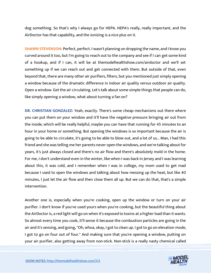dog something. So that's why I always go for HEPA. HEPA's really, really important, and the AirDoctor has that capability, and the ionizing is a nice plus on it.

**SHAWN STEVENSON:** Perfect, perfect. I wasn't planning on dropping the name, and I know you curved around it too, but I'm going to reach out to the company and see if I can get some kind of a hookup, and if I can, it will be at themodelhealthshow.com/airdoctor and we'll set something up if we can reach out and get connected with them. But outside of that, even beyond that, there are many other air purifiers, filters, but you mentioned just simply opening a window because of the dramatic difference in indoor air quality versus outdoor air quality. Open a window. Get the air circulating. Let's talk about some simple things that people can do, like simply opening a window, what about turning a fan on?

**DR. CHRISTIAN GONZALEZ:** Yeah, exactly. There's some cheap mechanisms out there where you can put them on your window and it'll have the negative pressure bringing air out from the inside, which will be really helpful, maybe you can have that running for 45 minutes to an hour in your home or something. But opening the windows is so important because the air is going to be able to circulate, it's going to be able to blow out, and a lot of us... Man, I had this friend and she was telling me her parents never open the windows, and we're talking about for years, it's just always closed and there's no air flow and there's absolutely mold in the home. For me, I don't understand even in the winter, like when I was back in Jersey and I was learning about this, it was cold, and I remember when I was in college, my mom used to get mad because I used to open the windows and talking about how messing up the heat, but like 40 minutes, I just let the air flow and then close them all up. But we can do that, that's a simple intervention.

Another one is, especially when you're cooking, open up the window or turn on your air purifier. I don't know if you've used yours when you're cooking, but the beautiful thing about the AirDoctor is, a red light will go on when it's exposed to toxins at a higher load than it wants. So almost every time you cook, it'll sense it because the combustion particles are going in the air and it's sensing, and going, "Oh, whoa, okay, I got to clean up. I got to go on elevation mode, I got to go on four out of four." And making sure that you're opening a window, putting on your air purifier, also getting away from non-stick. Non-stick is a really nasty chemical called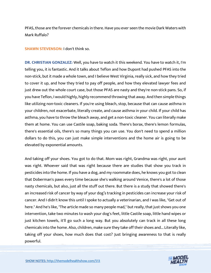PFAS, those are the forever chemicals in there. Have you ever seen the movie Dark Waters with Mark Ruffalo?

**SHAWN STEVENSON:** I don't think so.

**DR. CHRISTIAN GONZALEZ:** Well, you have to watch it this weekend. You have to watch it, I'm telling you, it is fantastic. And it talks about Teflon and how Dupont had pushed PFAS into the non-stick, but it made a whole town, and I believe West Virginia, really sick, and how they tried to cover it up, and how they tried to pay off people, and how they elevated lawyer fees and just drew out the whole court case, but those PFAS are nasty and they're non-stick pans. So, if you have Teflon, I would highly, highly recommend throwing that away. And then simple things like utilizing non-toxic cleaners. If you're using bleach, stop, because that can cause asthma in your children, not exacerbate, literally create, and cause asthma in your child. If your child has asthma, you have to throw the bleach away, and get a non-toxic cleaner. You can literally make them at home. You can use Castile soap, baking soda. There's borax, there's lemon formulas, there's essential oils, there's so many things you can use. You don't need to spend a million dollars to do this, you can just make simple interventions and the home air is going to be elevated by exponential amounts.

And taking off your shoes. You got to do that. Mom was right, Grandma was right, your aunt was right. Whoever said that was right because there are studies that show you track in pesticides into the home. If you have a dog, and my roommate does, he knows you got to clean that Doberman's paws every time because she's walking around Venice, there's a lot of those nasty chemicals, but also, just all the stuff out there. But there is a study that showed there's an increased risk of cancer by way of your dog's tracking in pesticides can increase your risk of cancer. And I didn't know this until I spoke to actually a veterinarian, and I was like, "Get out of here." And he's like, "The article made so many people mad," but really, that just shows you one intervention, take two minutes to wash your dog's feet, little Castile soap, little hand wipes or just kitchen towels, it'll go such a long way. But you absolutely can track in all these long chemicals into the home. Also, children, make sure they take off their shoes and... Literally like, taking off your shoes, how much does that cost? Just bringing awareness to that is really powerful.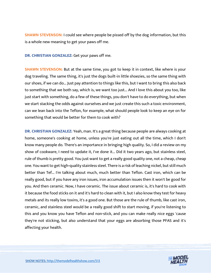**SHAWN STEVENSON:** I could see where people be pissed off by the dog information, but this is a whole new meaning to get your paws off me.

**DR. CHRISTIAN GONZALEZ:** Get your paws off me.

**SHAWN STEVENSON:** But at the same time, you got to keep it in context, like where is your dog traveling. The same thing, it's just the dogs built-in little shoezies, so the same thing with our shoes, if we can do... Just pay attention to things like this, but I want to bring this also back to something that we both say, which is, we want too just... And I love this about you too, like just start with something, do a few of these things, you don't have to do everything, but when we start stacking the odds against ourselves and we just create this such a toxic environment, can we lean back into the Teflon, for example, what should people look to keep an eye on for something that would be better for them to cook with?

**DR. CHRISTIAN GONZALEZ:** Yeah, man. It's a great thing because people are always cooking at home, someone's cooking at home, unless you're just eating out all the time, which I don't know many people do. There's an importance in bringing high quality. So, I did a review on my show of cookware, I need to update it, I've done it... Did it two years ago, but stainless steel, rule of thumb is pretty good. You just want to get a really good quality one, not a cheap, cheap one. You want to get high-quality stainless steel. There is a risk of leaching nickel, but still much better than Tef... I'm talking about much, much better than Teflon. Cast iron, which can be really good, but if you have any iron issues, iron accumulation issues then it won't be good for you. And then ceramic. Now, I have ceramic. The issue about ceramic is, it's hard to cook with it because the food sticks on it and it's hard to clean with it, but I also know they test for heavy metals and its really low toxins, it's a good one. But those are the rule of thumb, like cast iron, ceramic, and stainless steel would be a really good shift to start moving, if you're listening to this and you know you have Teflon and non-stick, and you can make really nice eggs 'cause they're not sticking, but also understand that your eggs are absorbing those PFAS and it's affecting your health.

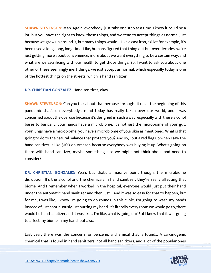**SHAWN STEVENSON:** Man. Again, everybody, just take one step at a time. I know it could be a lot, but you have the right to know these things, and we tend to accept things as normal just because we grow up around it, but many things would... Like a cast iron, skillet for example, it's been used a long, long, long time. Like, humans figured that thing out but over decades, we're just getting more about convenience, more about we want everything to be a certain way, and what are we sacrificing with our health to get those things. So, I want to ask you about one other of these seemingly inert things, we just accept as normal, which especially today is one of the hottest things on the streets, which is hand sanitizer.

**DR. CHRISTIAN GONZALEZ:** Hand sanitizer, okay.

**SHAWN STEVENSON:** Can you talk about that because I brought it up at the beginning of this pandemic that's on everybody's mind today has really taken over our world, and I was concerned about the overuse because it's designed in such a way, especially with these alcohol bases to basically, your hands have a microbiome, it's not just the microbiome of your gut, your lungs have a microbiome, you have a microbiome of your skin as mentioned. What is that going to do to the natural balance that protects you? And so, I put a red flag up when I saw the hand sanitizer is like \$100 on Amazon because everybody was buying it up. What's going on there with hand sanitizer, maybe something else we might not think about and need to consider?

**DR. CHRISTIAN GONZALEZ:** Yeah, but that's a massive point though, the microbiome disruption. It's the alcohol and the chemicals in hand sanitizer, they're really affecting that biome. And I remember when I worked in the hospital, everyone would just put their hand under the automatic hand sanitizer and then just... And it was so easy for that to happen, but for me, I was like, I know I'm going to do rounds in this clinic, I'm going to wash my hands instead of just continuously just putting my hand. It's literally every room we would go to, there would be hand sanitizer and it was like... I'm like, what is going on? But I knew that it was going to affect my biome in my hand, but also.

Last year, there was the concern for benzene, a chemical that is found... A carcinogenic chemical that is found in hand sanitizers, not all hand sanitizers, and a lot of the popular ones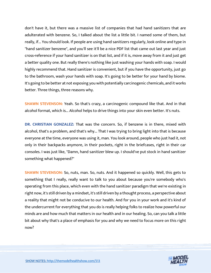don't have it, but there was a massive list of companies that had hand sanitizers that are adulterated with benzene. So, I talked about the list a little bit. I named some of them, but really, if... You should look. If people are using hand sanitizers regularly, look online and type in "hand sanitizer benzene", and you'll see it'll be a nice PDF list that came out last year and just cross-reference if your hand sanitizer is on that list, and if it is, move away from it and just get a better quality one. But really there's nothing like just washing your hands with soap. I would highly recommend that. Hand sanitizer is convenient, but if you have the opportunity, just go to the bathroom, wash your hands with soap. It's going to be better for your hand by biome. It's going to be better at not exposing you with potentially carcinogenic chemicals, and it works better. Three things, three reasons why.

**SHAWN STEVENSON:** Yeah. So that's crazy, a carcinogenic compound like that. And in that alcohol format, which is... Alcohol helps to drive things into your skin even better. It's nuts.

**DR. CHRISTIAN GONZALEZ:** That was the concern. So, if benzene is in there, mixed with alcohol, that's a problem, and that's why... That I was trying to bring light into that is because everyone at the time, everyone was using it, man. You look around, people who just had it, not only in their backpacks anymore, in their pockets, right in the briefcases, right in their car consoles. I was just like, "Damn, hand sanitizer blew up. I should've put stock in hand sanitizer something what happened?"

**SHAWN STEVENSON:** So, nuts, man. So, nuts. And it happened so quickly. Well, this gets to something that I really, really want to talk to you about because you're somebody who's operating from this place, which even with the hand sanitizer paradigm that we're existing in right now, it's still driven by a mindset, it's still driven by a thought process, a perspective about a reality that might not be conducive to our health. And for you in your work and it's kind of the undercurrent for everything that you do is really helping folks to realize how powerful our minds are and how much that matters in our health and in our healing. So, can you talk a little bit about why that's a place of emphasis for you and why we need to focus more on this right now?

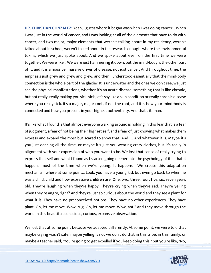**DR. CHRISTIAN GONZALEZ:** Yeah, I guess where it began was when I was doing cancer... When I was just in the world of cancer, and I was looking at all of the elements that have to do with cancer, and two major, major elements that weren't talking about in my residency, weren't talked about in school, weren't talked about in the research enough, where the environmental toxins, which we just spoke about. And we spoke about even on the first time we were together. We were like... We were just hammering it down, but the mind-body is the other part of it, and it is a massive, massive driver of disease, not just cancer. And throughout time, the emphasis just grew and grew and grew, and then I understood essentially that the mind-body connection is the whole part of the glacier. It is underwater and the ones we don't see, we just see the physical manifestations, whether it's an acute disease, something that is like chronic, but not really, really making you sick, sick, let's say like a skin condition or really chronic disease where you really sick. It's a major, major root, if not the root, and it is how your mind-body is connected and how you present in your highest authenticity. And that's it, man.

It's like what I found is that almost everyone walking around is holding in this fear that is a fear of judgment, a fear of not being their highest self, and a fear of just knowing what makes them express and expand the most but scared to show that. And I... And whatever it is. Maybe it's you just dancing all the time, or maybe it's just you wearing crazy clothes, but it's really in alignment with your expression of who you want to be. We lost that sense of really trying to express that self and what I found as I started going deeper into the psychology of it is that it happens most of the time when we're young. It happens... We create this adaptation mechanism where at some point... Look, you have a young kid, but even go back to when he was a child, child and how expressive children are. One, two, three, four, five, six, seven years old. They're laughing when they're happy. They're crying when they're sad. They're yelling when they're angry, right? And they're just so curious about the world and they see a plant for what it is. They have no preconceived notions. They have no other experiences. They have plant. Oh, let me move. Wow, rug. Oh, let me move. Wow, ant." And they move through the world in this beautiful, conscious, curious, expansive observation.

We lost that at some point because we adapted differently. At some point, we were told that maybe crying wasn't safe, maybe yelling is not we don't do that in this tribe, in this family, or maybe a teacher said, "You're going to get expelled if you keep doing this," but you're like, "No,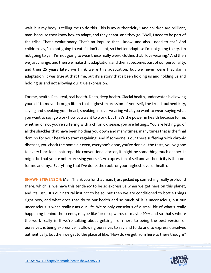wait, but my body is telling me to do this. This is my authenticity." And children are brilliant, man, because they know how to adapt, and they adapt, and they go, "Well, I need to be part of the tribe. That's evolutionary. That's an impulse that I know, and also I need to eat." And children say, "I'm not going to eat if I don't adapt, so I better adapt, so I'm not going to cry. I'm not going to yell. I'm not going to wear these really weird clothes that I love wearing." And then we just change, and then we make this adaptation, and then it becomes part of our personality, and then 25 years later, we think we're this adaptation, but we never were that damn adaptation. It was true at that time, but it's a story that's been holding us and holding us and holding us and not allowing our true expression.

For me, health. Real, real, real health. Deep, deep health. Glacial health, underwater is allowing yourself to move through life in that highest expression of yourself, the truest authenticity, saying and speaking your heart, speaking in love, wearing what you want to wear, saying what you want to say, go work how you want to work, but that's the power in health because to me, whether or not you're suffering with a chronic disease, you are letting... You are letting go of all the shackles that have been holding you down and many times, many times that is the final domino for your health to start regaining. And if someone is out there suffering with chronic diseases, you check the home air even, everyone's done, you've done all the tests, you've gone to every functional naturopathic conventional doctor, it might be something much deeper. It might be that you're not expressing yourself. An expression of self and authenticity is the root for me and my... Everything that I've done, the root for your highest level of health.

**SHAWN STEVENSON:** Man. Thank you for that man. I just picked up something really profound there, which is, we have this tendency to be so expressive when we get here on this planet, and it's just... It's our natural instinct to be so, but then we are conditioned to bottle things right now, and what does that do to our health and so much of it is unconscious, but our unconscious is what really runs our life. We're only conscious of a small bit of what's really happening behind the scenes, maybe like 1% or upwards of maybe 10% and so that's where the work really is. If we're talking about getting from here to being the best version of ourselves, is being expressive, is allowing ourselves to say and to do and to express ourselves authentically, but then we get to the place of like, "How do we get from here to there though?"

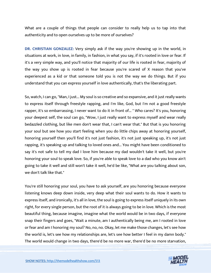What are a couple of things that people can consider to really help us to tap into that authenticity and to open ourselves up to be more of ourselves?

**DR. CHRISTIAN GONZALEZ:** Very simply ask if the way you're showing up in the world, in situations at work, in love, in family, in fashion, in what you say, if it's rooted in love or fear. If it's a very simple way, and you'll notice that majority of our life is rooted in fear, majority of the way you show up is rooted in fear because you're scared of X reason that you've experienced as a kid or that someone told you is not the way we do things. But if you understand that you can express yourself in love authentically, that's the liberating part.

So, watch, I can go, "Man, I just... My soul is so creative and so expansive, and it just really wants to express itself through freestyle rapping, and I'm like, God, but I'm not a good freestyle rapper, it's so embarrassing, I never want to do it in front of... "Who cares? It's you, honoring your deepest self, the soul can go, "Wow, I just really want to express myself and wear really bedazzled clothing, but like men don't wear that, I can't wear that." But that is you honoring your soul but see how you start feeling when you do little chips away at honoring yourself, honoring yourself then you'll find it's not just fashion, it's not just speaking up, it's not just rapping, it's speaking up and talking to loved ones and... You might have been conditioned to say it's not safe to tell my dad I love him because my dad wouldn't take it well, but you're honoring your soul to speak love. So, if you're able to speak love to a dad who you know ain't going to take it well and still won't take it well, he'd be like, "What are you talking about son, we don't talk like that."

You're still honoring your soul, you have to ask yourself, are you honoring because everyone listening knows deep down inside, very deep what their soul wants to do. How it wants to express itself, and ironically, it's all in love, the soul is going to express itself uniquely in its own right, for every single person, but the root of it is always going to be in love. Which is the most beautiful thing, because imagine, imagine what the world would be in two days, if everyone snap their fingers and goes, "Wait a minute, am I authentically being me, am I rooted in love or fear and am I honoring my soul? No, no, no. Okay, let me make those changes, let's see how the world is, let's see how my relationships are, let's see how better I feel in my damn body." The world would change in two days, there'd be no more war, there'd be no more starvation,

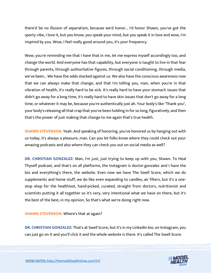there'd be no illusion of separatism, because we'd honor... I'd honor Shawn, you've got the sporty vibe, I love it, but you know, you speak your mind, but you speak it in love and wow, I'm inspired by you. Wow, I feel really good around you, it's your frequency.

Wow, you're reminding me that I have that in me, let me express myself accordingly too, and change the world. And everyone has that capability, but everyone is taught to live in that fear through parents, through authoritative figures, through social conditioning, through media, we've been... We have the odds stacked against us. We also have the conscious awareness now that we can always make that change, and that I'm telling you, man, when you're in that vibration of health, it's really hard to be sick. It's really hard to have your stomach issues that didn't go away for a long time, it's really hard to have skin issues that don't go away for a long time, or whatever it may be, because you're authentically just ah. Your body's like "Thank you", your body's releasing all that crap that you've been holding in for so long, figuratively, and then that's the power of just making that change to me again that's true health.

**SHAWN STEVENSON:** Yeah. And speaking of honoring, you've honored us by hanging out with us today, it's always a pleasure, man. Can you let folks know where they could check out your amazing podcasts and also where they can check you out on social media as well?

**DR. CHRISTIAN GONZALEZ:** Man, I'm just, just trying to keep up with you, Shawn. To Heal Thyself podcast, and that's on all platforms, the Instagram is doctor.gonzalez and I have the bio and everything's there, the website. Even now we have The Swell Score, which we do supplements and home stuff, we do like even expanding to candles, air filters, but it's a onestop shop for the healthiest, hand-picked, curated, straight from doctors, nutritionist and scientists putting it all together so it's very, very intentional what we have on there, but it's the best of the best, in my opinion. So that's what we're doing right now.

**SHAWN STEVENSON:** Where's that at again?

**DR. CHRISTIAN GONZALEZ:** That's at Swell Score, but it's in my LinkedIn bio, on Instagram, you can just go on it and you'll click it and the whole website is there. It's called The Swell Score.

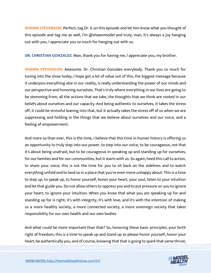**SHAWN STEVENSON:** Perfect, tag Dr. G on this episode and let him know what you thought of this episode and tag me as well, I'm @shawnmodel and truly, man, it's always a joy hanging out with you, I appreciate you so much for hanging out with us.

**DR. CHRISTIAN GONZALEZ:** Man, thank you for having me, I appreciate you, my brother.

**SHAWN STEVENSON:** Awesome. Dr. Christian Gonzales everybody. Thank you so much for tuning into the show today, I hope got a lot of value out of this, the biggest message because it underpins everything else in our reality, is really understanding the power of our minds and our perspective and honoring ourselves. That's truly where everything in our lives are going to be stemming from, all the actions that we take, the thoughts that we think are rooted in our beliefs about ourselves and our capacity. And being authentic to ourselves, it takes the stress off, it could be stressful leaning into that, but it actually takes the stress off of us when we are suppressing and holding in the things that we believe about ourselves and our voice, and a feeling of empowerment.

And more so than ever, this is the time, I believe that this time in human history is offering us an opportunity to truly step into our power, to step into our voice, to be courageous, not that it's about being unafraid, but to be courageous in speaking up and standing up for ourselves, for our families and for our communities, but it starts with us. So again, heed this call to action, to share your voice, this is not the time for you to sit back on the sidelines and to watch everything unfold and to land us in a place that you're even more unhappy about. This is a time to step up, to speak up, to honor yourself, honor your heart, your soul, listen to your intuition and let that guide you. Do not allow others to oppress you and to put pressure on you to ignore your heart, to ignore your intuition. When you know that what you are speaking up for and standing up for is right, it's with integrity, it's with love, and it's with the intention of making us a more healthy society, a more connected society, a more sovereign society that takes responsibility for our own health and our own bodies.

And what could be more important than that? So, honoring these basic principles, your birth right of freedom, this is a time to speak up and stand up so please honor yourself, honor your heart, be authentically you, and of course, knowing that that is going to spark that same thrust,